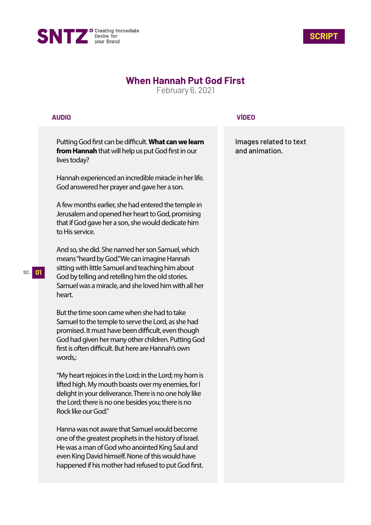



## **When Hannah Put God First**

February 6, 2021

## **AUDIO**

Putting God first can be difficult. **What can we learn from Hannah** that will help us put God first in our lives today?

Hannah experienced an incredible miracle in her life. God answered her prayer and gave her a son.

A few months earlier, she had entered the temple in Jerusalem and opened her heart to God, promising that if God gave her a son, she would dedicate him to His service.

And so, she did. She named her son Samuel, which means "heard by God." We can imagine Hannah sitting with little Samuel and teaching him about God by telling and retelling him the old stories. Samuel was a miracle, and she loved him with all her heart.

But the time soon came when she had to take Samuel to the temple to serve the Lord, as she had promised. It must have been difficult, even though God had given her many other children. Putting God first is often difficult. But here are Hannah's own words,:

"My heart rejoices in the Lord; in the Lord; my horn is lifted high. My mouth boasts over my enemies, for I delight in your deliverance. There is no one holy like the Lord; there is no one besides you; there is no Rock like our God."

Hanna was not aware that Samuel would become one of the greatest prophets in the history of Israel. He was a man of God who anointed King Saul and even King David himself. None of this would have happened if his mother had refused to put God first.

## **VÍDEO**

Images related to text and animation.